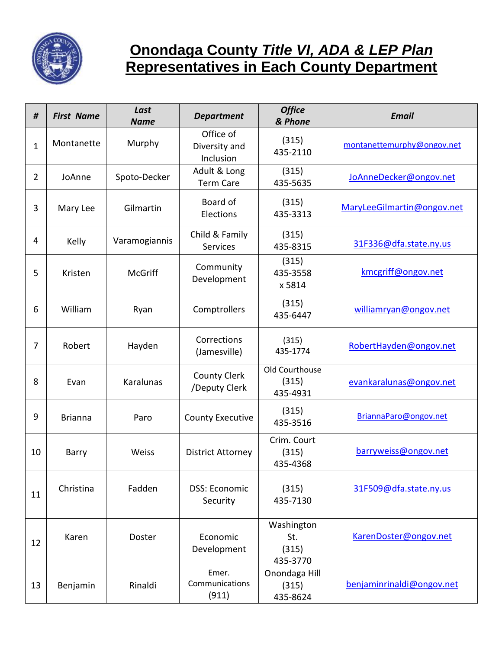

## **Onondaga County** *Title VI, ADA & LEP Plan*  **Representatives in Each County Department**

| #              | <b>First Name</b> | Last<br><b>Name</b> | <b>Department</b>                       | <b>Office</b><br>& Phone               | <b>Email</b>               |
|----------------|-------------------|---------------------|-----------------------------------------|----------------------------------------|----------------------------|
| $\mathbf 1$    | Montanette        | Murphy              | Office of<br>Diversity and<br>Inclusion | (315)<br>435-2110                      | montanettemurphy@ongov.net |
| $\overline{2}$ | JoAnne            | Spoto-Decker        | Adult & Long<br><b>Term Care</b>        | (315)<br>435-5635                      | JoAnneDecker@ongov.net     |
| 3              | Mary Lee          | Gilmartin           | Board of<br>Elections                   | (315)<br>435-3313                      | MaryLeeGilmartin@ongov.net |
| 4              | Kelly             | Varamogiannis       | Child & Family<br><b>Services</b>       | (315)<br>435-8315                      | 31F336@dfa.state.ny.us     |
| 5              | Kristen           | <b>McGriff</b>      | Community<br>Development                | (315)<br>435-3558<br>x 5814            | kmcgriff@ongov.net         |
| 6              | William           | Ryan                | Comptrollers                            | (315)<br>435-6447                      | williamryan@ongov.net      |
| 7              | Robert            | Hayden              | Corrections<br>(Jamesville)             | (315)<br>435-1774                      | RobertHayden@ongov.net     |
| 8              | Evan              | <b>Karalunas</b>    | <b>County Clerk</b><br>/Deputy Clerk    | Old Courthouse<br>(315)<br>435-4931    | evankaralunas@ongov.net    |
| 9              | <b>Brianna</b>    | Paro                | <b>County Executive</b>                 | (315)<br>435-3516                      | BriannaParo@ongov.net      |
| 10             | Barry             | Weiss               | <b>District Attorney</b>                | Crim. Court<br>(315)<br>435-4368       | barryweiss@ongov.net       |
| 11             | Christina         | Fadden              | <b>DSS: Economic</b><br>Security        | (315)<br>435-7130                      | 31F509@dfa.state.ny.us     |
| 12             | Karen             | Doster              | Economic<br>Development                 | Washington<br>St.<br>(315)<br>435-3770 | KarenDoster@ongov.net      |
| 13             | Benjamin          | Rinaldi             | Emer.<br>Communications<br>(911)        | Onondaga Hill<br>(315)<br>435-8624     | benjaminrinaldi@ongov.net  |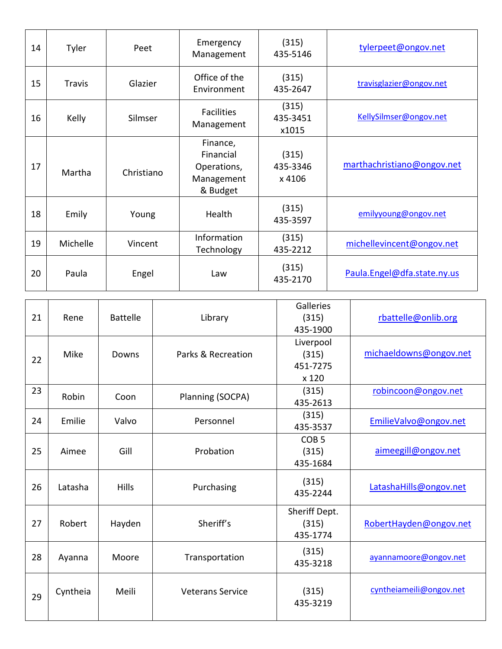| 14 | Tyler         | Peet       | Emergency<br>Management                                        | (315)<br>435-5146           | tylerpeet@ongov.net         |
|----|---------------|------------|----------------------------------------------------------------|-----------------------------|-----------------------------|
| 15 | <b>Travis</b> | Glazier    | Office of the<br>Environment                                   | (315)<br>435-2647           | travisglazier@ongov.net     |
| 16 | Kelly         | Silmser    | <b>Facilities</b><br>Management                                | (315)<br>435-3451<br>x1015  | KellySilmser@ongov.net      |
| 17 | Martha        | Christiano | Finance,<br>Financial<br>Operations,<br>Management<br>& Budget | (315)<br>435-3346<br>x 4106 | marthachristiano@ongov.net  |
| 18 | Emily         | Young      | Health                                                         | (315)<br>435-3597           | emilyyoung@ongov.net        |
| 19 | Michelle      | Vincent    | Information<br>Technology                                      | (315)<br>435-2212           | michellevincent@ongov.net   |
| 20 | Paula         | Engel      | Law                                                            | (315)<br>435-2170           | Paula.Engel@dfa.state.ny.us |

|    |          |                 |                         | Galleries         |                         |
|----|----------|-----------------|-------------------------|-------------------|-------------------------|
| 21 | Rene     | <b>Battelle</b> | Library                 | (315)             | rbattelle@onlib.org     |
|    |          |                 |                         | 435-1900          |                         |
|    |          |                 |                         | Liverpool         |                         |
| 22 | Mike     | Downs           | Parks & Recreation      | (315)             | michaeldowns@ongov.net  |
|    |          |                 |                         | 451-7275          |                         |
|    |          |                 |                         | x 120             |                         |
| 23 |          |                 |                         | (315)             | robincoon@ongov.net     |
|    | Robin    | Coon            | Planning (SOCPA)        | 435-2613          |                         |
|    |          |                 |                         | (315)             |                         |
| 24 | Emilie   | Valvo           | Personnel               | 435-3537          | EmilieValvo@ongov.net   |
|    |          |                 |                         | COB <sub>5</sub>  |                         |
| 25 | Aimee    | Gill            | Probation               | (315)             | aimeegill@ongov.net     |
|    |          |                 |                         | 435-1684          |                         |
|    |          |                 |                         |                   |                         |
| 26 | Latasha  | <b>Hills</b>    | Purchasing              | (315)<br>435-2244 | LatashaHills@ongov.net  |
|    |          |                 |                         |                   |                         |
|    |          |                 |                         | Sheriff Dept.     |                         |
| 27 | Robert   | Hayden          | Sheriff's               | (315)             | RobertHayden@ongov.net  |
|    |          |                 |                         | 435-1774          |                         |
|    |          |                 |                         | (315)             |                         |
| 28 | Ayanna   | Moore           | Transportation          | 435-3218          | ayannamoore@ongov.net   |
|    |          |                 |                         |                   |                         |
|    |          |                 |                         |                   |                         |
| 29 | Cyntheia | Meili           | <b>Veterans Service</b> | (315)             | cyntheiameili@ongov.net |
|    |          |                 |                         | 435-3219          |                         |
|    |          |                 |                         |                   |                         |